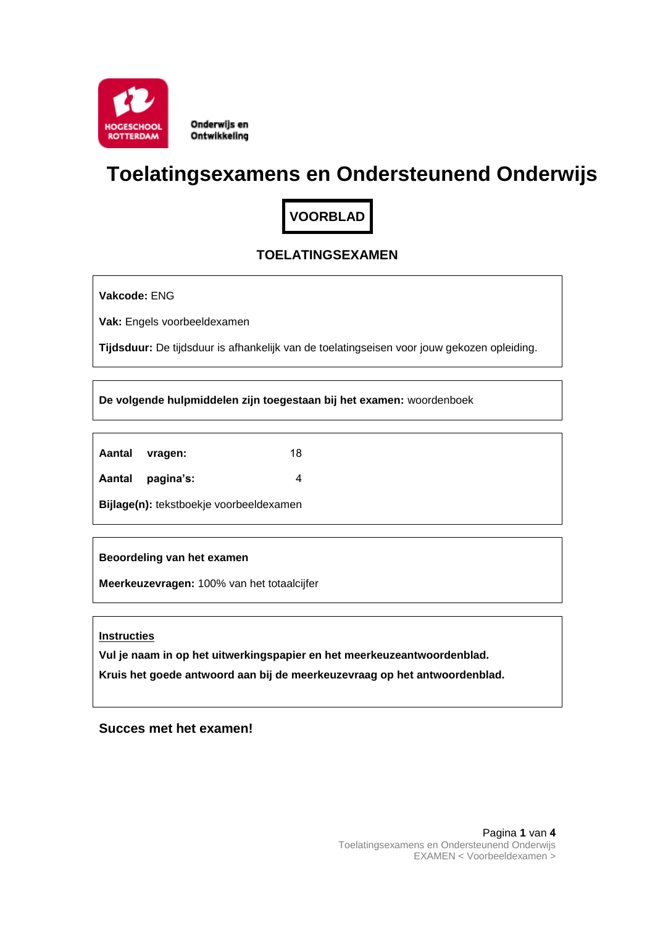

Onderwijs en Ontwikkeling

# **Toelatingsexamens en Ondersteunend Onderwijs**

**VOORBLAD**

# **TOELATINGSEXAMEN**

**Vakcode:** ENG

**Vak:** Engels voorbeeldexamen

**Tijdsduur:** De tijdsduur is afhankelijk van de toelatingseisen voor jouw gekozen opleiding.

**De volgende hulpmiddelen zijn toegestaan bij het examen:** woordenboek

| Aantal | vragen: | 18 |
|--------|---------|----|
|        |         |    |

**Aantal pagina's:** 4

**Bijlage(n):** tekstboekje voorbeeldexamen

**Beoordeling van het examen**

**Meerkeuzevragen:** 100% van het totaalcijfer

**Instructies**

**Vul je naam in op het uitwerkingspapier en het meerkeuzeantwoordenblad.**

**Kruis het goede antwoord aan bij de meerkeuzevraag op het antwoordenblad.**

**Succes met het examen!**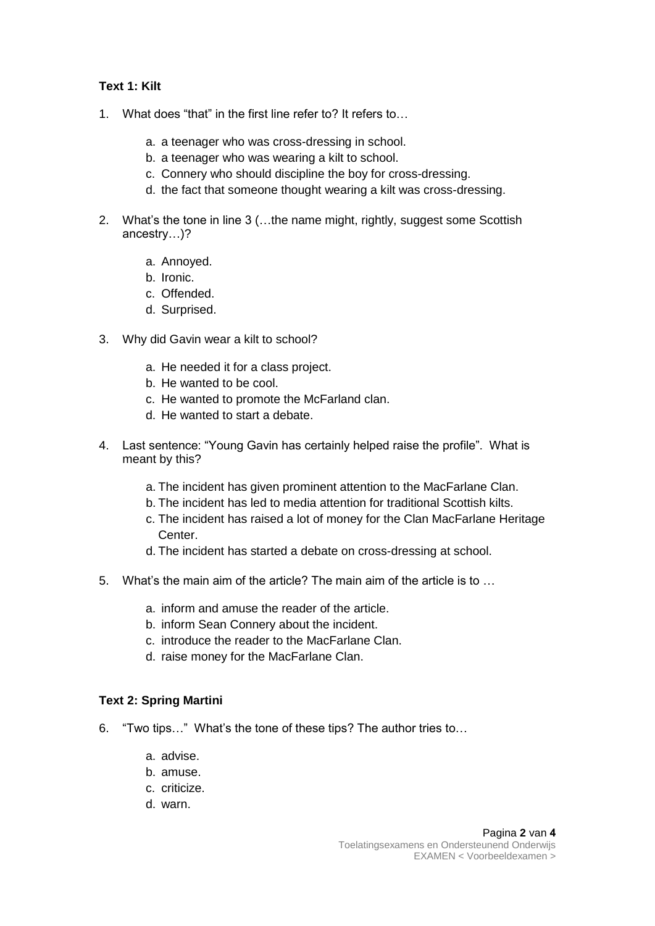## **Text 1: Kilt**

- 1. What does "that" in the first line refer to? It refers to…
	- a. a teenager who was cross-dressing in school.
	- b. a teenager who was wearing a kilt to school.
	- c. Connery who should discipline the boy for cross-dressing.
	- d. the fact that someone thought wearing a kilt was cross-dressing.
- 2. What's the tone in line 3 (…the name might, rightly, suggest some Scottish ancestry…)?
	- a. Annoyed.
	- b. Ironic.
	- c. Offended.
	- d. Surprised.
- 3. Why did Gavin wear a kilt to school?
	- a. He needed it for a class project.
	- b. He wanted to be cool.
	- c. He wanted to promote the McFarland clan.
	- d. He wanted to start a debate.
- 4. Last sentence: "Young Gavin has certainly helped raise the profile". What is meant by this?
	- a. The incident has given prominent attention to the MacFarlane Clan.
	- b. The incident has led to media attention for traditional Scottish kilts.
	- c. The incident has raised a lot of money for the Clan MacFarlane Heritage Center.
	- d. The incident has started a debate on cross-dressing at school.
- 5. What's the main aim of the article? The main aim of the article is to …
	- a. inform and amuse the reader of the article.
	- b. inform Sean Connery about the incident.
	- c. introduce the reader to the MacFarlane Clan.
	- d. raise money for the MacFarlane Clan.

### **Text 2: Spring Martini**

- 6. "Two tips…" What's the tone of these tips? The author tries to…
	- a. advise.
	- b. amuse.
	- c. criticize.
	- d. warn.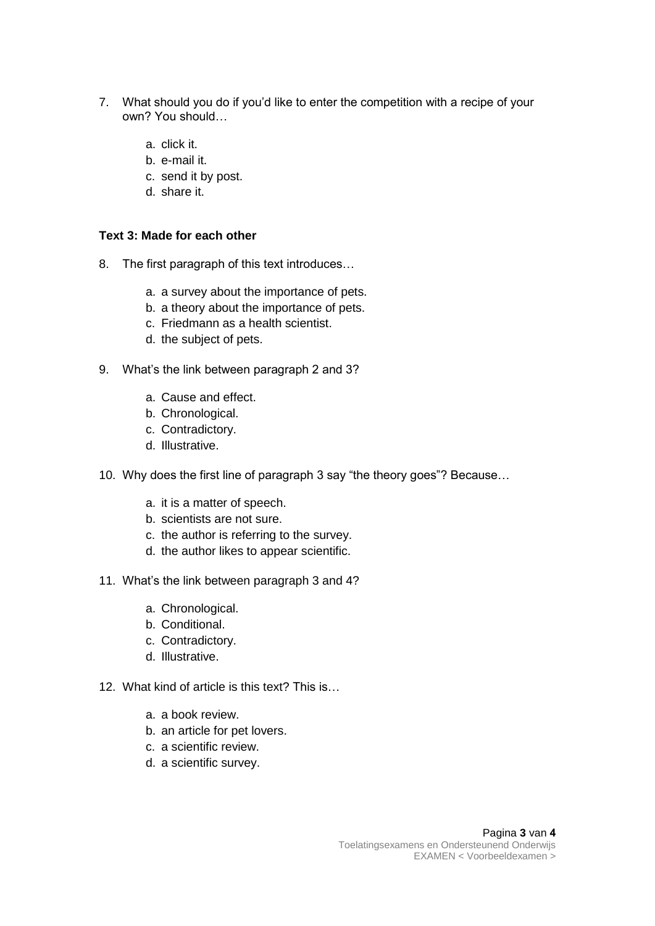- 7. What should you do if you'd like to enter the competition with a recipe of your own? You should…
	- a. click it.
	- b. e-mail it.
	- c. send it by post.
	- d. share it.

#### **Text 3: Made for each other**

- 8. The first paragraph of this text introduces…
	- a. a survey about the importance of pets.
	- b. a theory about the importance of pets.
	- c. Friedmann as a health scientist.
	- d. the subject of pets.
- 9. What's the link between paragraph 2 and 3?
	- a. Cause and effect.
	- b. Chronological.
	- c. Contradictory.
	- d. Illustrative.
- 10. Why does the first line of paragraph 3 say "the theory goes"? Because…
	- a. it is a matter of speech.
	- b. scientists are not sure.
	- c. the author is referring to the survey.
	- d. the author likes to appear scientific.
- 11. What's the link between paragraph 3 and 4?
	- a. Chronological.
	- b. Conditional.
	- c. Contradictory.
	- d. Illustrative.
- 12. What kind of article is this text? This is…
	- a. a book review.
	- b. an article for pet lovers.
	- c. a scientific review.
	- d. a scientific survey.